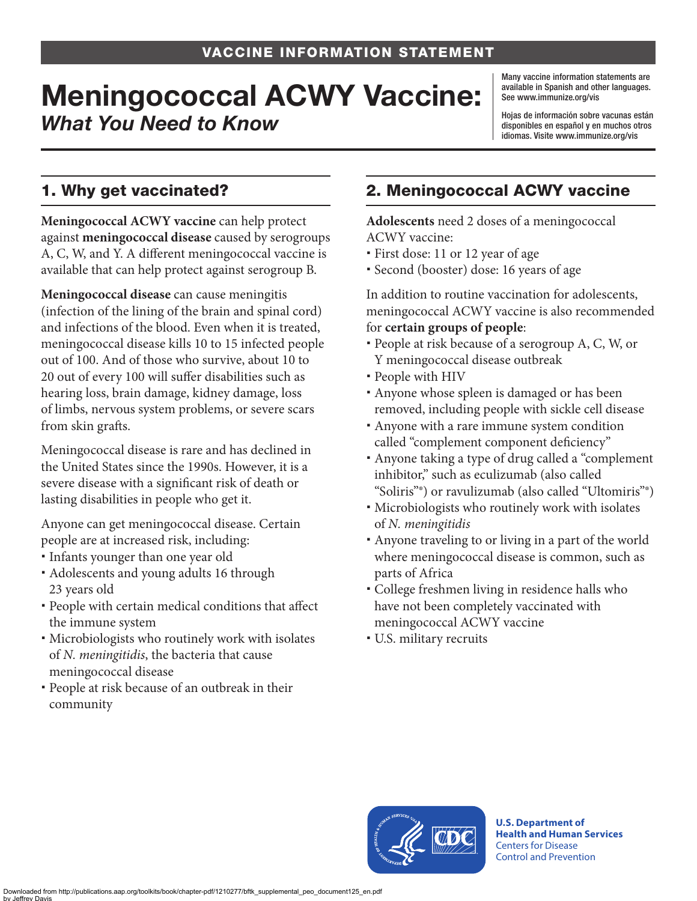# Meningococcal ACWY Vaccine: *What You Need to Know*

Many vaccine information statements are available in Spanish and other languages. See [www.immunize.org/vis](http://www.immunize.org/vis)

Hojas de información sobre vacunas están disponibles en español y en muchos otros idiomas. Visite [www.immunize.org/vis](http://www.immunize.org/vis)

### 1. Why get vaccinated?

**Meningococcal ACWY vaccine** can help protect against **meningococcal disease** caused by serogroups A, C, W, and Y. A different meningococcal vaccine is available that can help protect against serogroup B.

**Meningococcal disease** can cause meningitis (infection of the lining of the brain and spinal cord) and infections of the blood. Even when it is treated, meningococcal disease kills 10 to 15 infected people out of 100. And of those who survive, about 10 to 20 out of every 100 will suffer disabilities such as hearing loss, brain damage, kidney damage, loss of limbs, nervous system problems, or severe scars from skin grafts.

Meningococcal disease is rare and has declined in the United States since the 1990s. However, it is a severe disease with a significant risk of death or lasting disabilities in people who get it.

Anyone can get meningococcal disease. Certain people are at increased risk, including:

- Infants younger than one year old
- Adolescents and young adults 16 through 23 years old
- People with certain medical conditions that affect the immune system
- Microbiologists who routinely work with isolates of *N. meningitidis*, the bacteria that cause meningococcal disease
- People at risk because of an outbreak in their community

## 2. Meningococcal ACWY vaccine

**Adolescents** need 2 doses of a meningococcal ACWY vaccine:

- First dose: 11 or 12 year of age
- Second (booster) dose: 16 years of age

In addition to routine vaccination for adolescents, meningococcal ACWY vaccine is also recommended for **certain groups of people**:

- People at risk because of a serogroup A, C, W, or Y meningococcal disease outbreak
- People with HIV
- Anyone whose spleen is damaged or has been removed, including people with sickle cell disease
- Anyone with a rare immune system condition called "complement component deficiency"
- Anyone taking a type of drug called a "complement inhibitor," such as eculizumab (also called "Soliris"®) or ravulizumab (also called "Ultomiris"®)
- Microbiologists who routinely work with isolates of *N. meningitidis*
- Anyone traveling to or living in a part of the world where meningococcal disease is common, such as parts of Africa
- College freshmen living in residence halls who have not been completely vaccinated with meningococcal ACWY vaccine
- U.S. military recruits



**U.S. Department of Health and Human Services**  Centers for Disease Control and Prevention